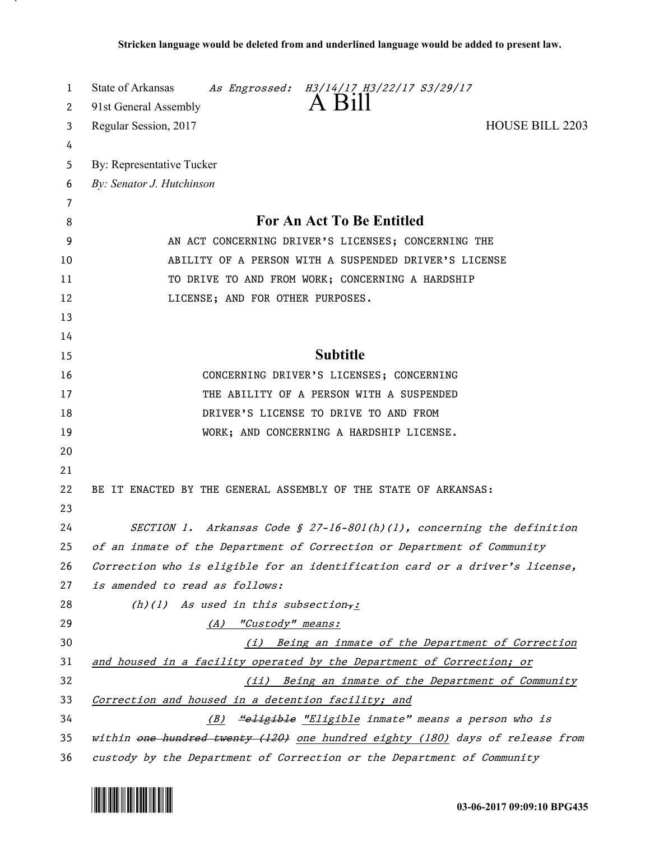| 1  | State of Arkansas<br>As Engrossed: H3/14/17 H3/22/17 S3/29/17                 |
|----|-------------------------------------------------------------------------------|
| 2  | A Bill<br>91st General Assembly                                               |
| 3  | <b>HOUSE BILL 2203</b><br>Regular Session, 2017                               |
| 4  |                                                                               |
| 5  | By: Representative Tucker                                                     |
| 6  | By: Senator J. Hutchinson                                                     |
| 7  |                                                                               |
| 8  | For An Act To Be Entitled                                                     |
| 9  | AN ACT CONCERNING DRIVER'S LICENSES; CONCERNING THE                           |
| 10 | ABILITY OF A PERSON WITH A SUSPENDED DRIVER'S LICENSE                         |
| 11 | TO DRIVE TO AND FROM WORK; CONCERNING A HARDSHIP                              |
| 12 | LICENSE; AND FOR OTHER PURPOSES.                                              |
| 13 |                                                                               |
| 14 |                                                                               |
| 15 | <b>Subtitle</b>                                                               |
| 16 | CONCERNING DRIVER'S LICENSES; CONCERNING                                      |
| 17 | THE ABILITY OF A PERSON WITH A SUSPENDED                                      |
| 18 | DRIVER'S LICENSE TO DRIVE TO AND FROM                                         |
| 19 | WORK; AND CONCERNING A HARDSHIP LICENSE.                                      |
| 20 |                                                                               |
| 21 |                                                                               |
| 22 | BE IT ENACTED BY THE GENERAL ASSEMBLY OF THE STATE OF ARKANSAS:               |
| 23 |                                                                               |
| 24 | SECTION 1. Arkansas Code § 27-16-801(h)(1), concerning the definition         |
| 25 | of an inmate of the Department of Correction or Department of Community       |
| 26 | Correction who is eligible for an identification card or a driver's license,  |
| 27 | is amended to read as follows:                                                |
| 28 | (h)(1) As used in this subsection,:                                           |
| 29 | "Custody" means:<br>(A)                                                       |
| 30 | (i) Being an inmate of the Department of Correction                           |
| 31 | and housed in a facility operated by the Department of Correction; or         |
| 32 | (ii) Being an inmate of the Department of Community                           |
| 33 | Correction and housed in a detention facility; and                            |
| 34 | (B) "eligible "Eligible inmate" means a person who is                         |
| 35 | within one hundred twenty (120) one hundred eighty (180) days of release from |
| 36 | custody by the Department of Correction or the Department of Community        |



.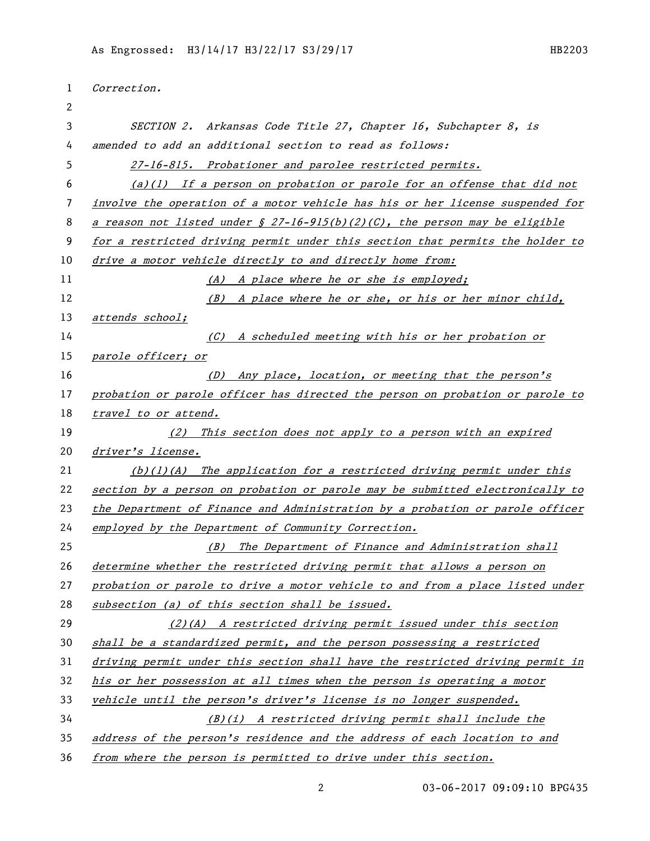| 1  | Correction.                                                                    |
|----|--------------------------------------------------------------------------------|
| 2  |                                                                                |
| 3  | SECTION 2. Arkansas Code Title 27, Chapter 16, Subchapter 8, is                |
| 4  | amended to add an additional section to read as follows:                       |
| 5. | 27-16-815. Probationer and parolee restricted permits.                         |
| 6  | $(a)(1)$ If a person on probation or parole for an offense that did not        |
| 7  | involve the operation of a motor vehicle has his or her license suspended for  |
| 8  | a reason not listed under $\S 27$ -16-915(b)(2)(C), the person may be eligible |
| 9  | for a restricted driving permit under this section that permits the holder to  |
| 10 | drive a motor vehicle directly to and directly home from:                      |
| 11 | (A) A place where he or she is employed;                                       |
| 12 | $(B)$ A place where he or she, or his or her minor child,                      |
| 13 | attends school;                                                                |
| 14 | (C) A scheduled meeting with his or her probation or                           |
| 15 | parole officer; or                                                             |
| 16 | (D) Any place, location, or meeting that the person's                          |
| 17 | probation or parole officer has directed the person on probation or parole to  |
| 18 | travel to or attend.                                                           |
| 19 | (2) This section does not apply to a person with an expired                    |
| 20 | driver's license.                                                              |
| 21 | $(b)(1)(A)$ The application for a restricted driving permit under this         |
| 22 | section by a person on probation or parole may be submitted electronically to  |
| 23 | the Department of Finance and Administration by a probation or parole officer  |
| 24 | employed by the Department of Community Correction.                            |
| 25 | (B) The Department of Finance and Administration shall                         |
| 26 | determine whether the restricted driving permit that allows a person on        |
| 27 | probation or parole to drive a motor vehicle to and from a place listed under  |
| 28 | subsection (a) of this section shall be issued.                                |
| 29 | $(2)$ (A) A restricted driving permit issued under this section                |
| 30 | shall be a standardized permit, and the person possessing a restricted         |
| 31 | driving permit under this section shall have the restricted driving permit in  |
| 32 | his or her possession at all times when the person is operating a motor        |
| 33 | vehicle until the person's driver's license is no longer suspended.            |
| 34 | (B)(i) A restricted driving permit shall include the                           |
| 35 | address of the person's residence and the address of each location to and      |
| 36 | from where the person is permitted to drive under this section.                |

2 03-06-2017 09:09:10 BPG435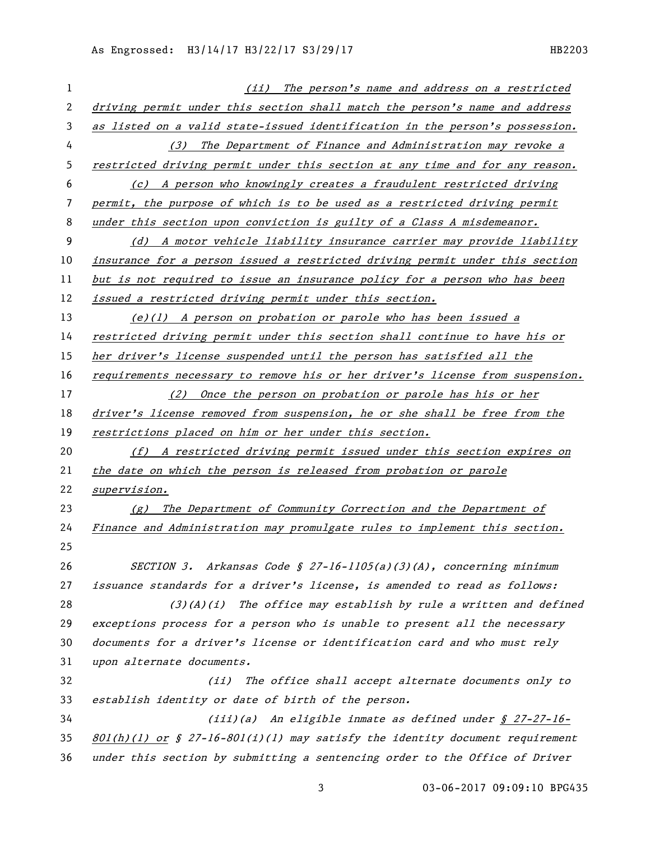| 1  | (ii) The person's name and address on a restricted                             |
|----|--------------------------------------------------------------------------------|
| 2  | driving permit under this section shall match the person's name and address    |
| 3  | as listed on a valid state-issued identification in the person's possession.   |
| 4  | (3) The Department of Finance and Administration may revoke a                  |
| 5  | restricted driving permit under this section at any time and for any reason.   |
| 6  | (c) A person who knowingly creates a fraudulent restricted driving             |
| 7  | permit, the purpose of which is to be used as a restricted driving permit      |
| 8  | under this section upon conviction is guilty of a Class A misdemeanor.         |
| 9  | (d) A motor vehicle liability insurance carrier may provide liability          |
| 10 | insurance for a person issued a restricted driving permit under this section   |
| 11 | but is not required to issue an insurance policy for a person who has been     |
| 12 | issued a restricted driving permit under this section.                         |
| 13 | $(e)(1)$ A person on probation or parole who has been issued a                 |
| 14 | restricted driving permit under this section shall continue to have his or     |
| 15 | her driver's license suspended until the person has satisfied all the          |
| 16 | requirements necessary to remove his or her driver's license from suspension.  |
| 17 | (2) Once the person on probation or parole has his or her                      |
| 18 | driver's license removed from suspension, he or she shall be free from the     |
| 19 | restrictions placed on him or her under this section.                          |
| 20 | (f) A restricted driving permit issued under this section expires on           |
| 21 | the date on which the person is released from probation or parole              |
| 22 | supervision.                                                                   |
| 23 | $(g)$ The Department of Community Correction and the Department of             |
| 24 | Finance and Administration may promulgate rules to implement this section.     |
| 25 |                                                                                |
| 26 | SECTION 3. Arkansas Code § 27-16-1105(a)(3)(A), concerning minimum             |
| 27 | issuance standards for a driver's license, is amended to read as follows:      |
| 28 | $(3)(A)(i)$ The office may establish by rule a written and defined             |
| 29 | exceptions process for a person who is unable to present all the necessary     |
| 30 | documents for a driver's license or identification card and who must rely      |
| 31 | upon alternate documents.                                                      |
| 32 | (ii) The office shall accept alternate documents only to                       |
| 33 | establish identity or date of birth of the person.                             |
| 34 | $(iii)(a)$ An eligible inmate as defined under $\frac{8}{27-27-16-1}$          |
| 35 | $801(h)(1)$ or § 27-16-801(i)(1) may satisfy the identity document requirement |
| 36 | under this section by submitting a sentencing order to the Office of Driver    |

03-06-2017 09:09:10 BPG435